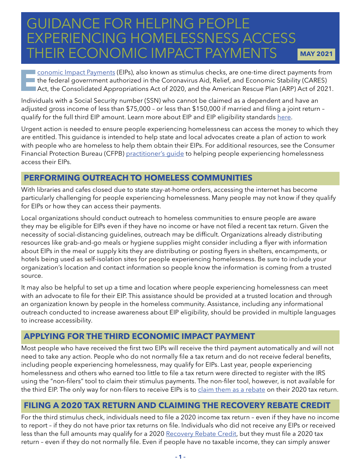# GUIDANCE FOR HELPING PEOPLE EXPERIENCING HOMELESSNESS ACCESS THEIR ECONOMIC IMPACT PAYMENTS **MAY 2021**

**E[conomic Impact Payments](https://www.irs.gov/coronavirus/economic-impact-payments) (EIPs), also known as stimulus checks, are one-time direct payments from the federal government authorized in the Coronavirus Aid, Relief, and Economic Stability (CARES) Act, the Consolidated Appr** the federal government authorized in the Coronavirus Aid, Relief, and Economic Stability (CARES) Act, the Consolidated Appropriations Act of 2020, and the American Rescue Plan (ARP) Act of 2021.

Individuals with a Social Security number (SSN) who cannot be claimed as a dependent and have an adjusted gross income of less than \$75,000 – or less than \$150,000 if married and filing a joint return – qualify for the full third EIP amount. Learn more about EIP and EIP eligibility standards [here.](https://nlihc.org/sites/default/files/FAQs_Economic-Impact-Payments.pdf)

Urgent action is needed to ensure people experiencing homelessness can access the money to which they are entitled. This guidance is intended to help state and local advocates create a plan of action to work with people who are homeless to help them obtain their EIPs. For additional resources, see the Consumer Financial Protection Bureau (CFPB) [practitioner's guide](https://www.consumerfinance.gov/coronavirus/help-homeless-access-their-eip/) to helping people experiencing homelessness access their EIPs.

## **PERFORMING OUTREACH TO HOMELESS COMMUNITIES**

With libraries and cafes closed due to state stay-at-home orders, accessing the internet has become particularly challenging for people experiencing homelessness. Many people may not know if they qualify for EIPs or how they can access their payments.

Local organizations should conduct outreach to homeless communities to ensure people are aware they may be eligible for EIPs even if they have no income or have not filed a recent tax return. Given the necessity of social-distancing guidelines, outreach may be difficult. Organizations already distributing resources like grab-and-go meals or hygiene supplies might consider including a flyer with information about EIPs in the meal or supply kits they are distributing or posting flyers in shelters, encampments, or hotels being used as self-isolation sites for people experiencing homelessness. Be sure to include your organization's location and contact information so people know the information is coming from a trusted source.

It may also be helpful to set up a time and location where people experiencing homelessness can meet with an advocate to file for their EIP. This assistance should be provided at a trusted location and through an organization known by people in the homeless community. Assistance, including any informational outreach conducted to increase awareness about EIP eligibility, should be provided in multiple languages to increase accessibility.

#### **APPLYING FOR THE THIRD ECONOMIC IMPACT PAYMENT**

Most people who have received the first two EIPs will receive the third payment automatically and will not need to take any action. People who do not normally file a tax return and do not receive federal benefits, including people experiencing homelessness, may qualify for EIPs. Last year, people experiencing homelessness and others who earned too little to file a tax return were directed to register with the IRS using the "non-filers" tool to claim their stimulus payments. The non-filer tool, however, is not available for the third EIP. The only way for non-filers to receive EIPs is to [claim them as a rebate](https://www.irs.gov/newsroom/recovery-rebate-credit-topic-a-claiming-the-recovery-rebate-credit-if-you-arent-required-to-file-a-tax-return) on their 2020 tax return.

#### **FILING A 2020 TAX RETURN AND CLAIMING THE RECOVERY REBATE CREDIT**

For the third stimulus check, individuals need to file a 2020 income tax return – even if they have no income to report – if they do not have prior tax returns on file. Individuals who did not receive any EIPs or received less than the full amounts may qualify for a 2020 [Recovery Rebate Credit,](https://www.irs.gov/newsroom/recovery-rebate-credit) but they must file a 2020 tax return – even if they do not normally file. Even if people have no taxable income, they can simply answer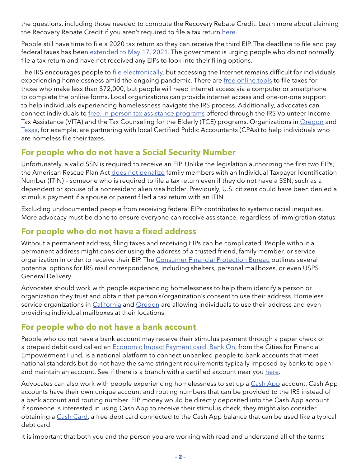the questions, including those needed to compute the Recovery Rebate Credit. Learn more about claiming the Recovery Rebate Credit if you aren't required to file a tax return [here.](https://www.irs.gov/newsroom/recovery-rebate-credit-topic-a-claiming-the-recovery-rebate-credit-if-you-arent-required-to-file-a-tax-return)

People still have time to file a 2020 tax return so they can receive the third EIP. The deadline to file and pay federal taxes has been [extended to May 17, 2021.](https://www.irs.gov/newsroom/tax-day-for-individuals-extended-to-may-17-treasury-irs-extend-filing-and-payment-deadline) The government is urging people who do not normally file a tax return and have not received any EIPs to look into their filing options.

The IRS encourages people to [file electronically,](https://www.irs.gov/filing/e-file-options) but accessing the Internet remains difficult for individuals experiencing homelessness amid the ongoing pandemic. There are [free online tools](https://www.irs.gov/filing/free-file-do-your-federal-taxes-for-free) to file taxes for those who make less than \$72,000, but people will need internet access via a computer or smartphone to complete the online forms. Local organizations can provide internet access and one-on-one support to help individuals experiencing homelessness navigate the IRS process. Additionally, advocates can connect individuals to [free, in-person tax assistance programs](https://irs.treasury.gov/freetaxprep/) offered through the IRS Volunteer Income Tax Assistance (VITA) and the Tax Counseling for the Elderly (TCE) programs. Organizations in [Oregon](https://www.streetroots.org/news/2020/04/21/if-you-did-not-file-taxes-these-folks-can-help-you-get-your-stimulus-payment) and [Texas,](https://www.cbs19.tv/article/news/local/helping-homeless-east-texans-with-resources-to-access-their-stimulus-checks/501-32fbd771-f1de-4513-baad-5d172f57231d) for example, are partnering with local Certified Public Accountants (CPAs) to help individuals who are homeless file their taxes.

#### **For people who do not have a Social Security Number**

Unfortunately, a valid SSN is required to receive an EIP. Unlike the legislation authorizing the first two EIPs, the American Rescue Plan Act [does not penalize](https://www.washingtonpost.com/politics/2021/03/09/murderers-undocumented-immigrants-hyped-claims-about-whos-getting-stimulus-checks/) family members with an Individual Taxpayer Identification Number (ITIN) – someone who is required to file a tax return even if they do not have a SSN, such as a dependent or spouse of a nonresident alien visa holder. Previously, U.S. citizens could have been denied a stimulus payment if a spouse or parent filed a tax return with an ITIN.

Excluding undocumented people from receiving federal EIPs contributes to systemic racial inequities. More advocacy must be done to ensure everyone can receive assistance, regardless of immigration status.

#### **For people who do not have a fixed address**

Without a permanent address, filing taxes and receiving EIPs can be complicated. People without a permanent address might consider using the address of a trusted friend, family member, or service organization in order to receive their EIP. The [Consumer Financial Protection Bureau](https://files.consumerfinance.gov/f/documents/cfpb_helping-consumers-claim-eip_guide.pdf) outlines several potential options for IRS mail correspondence, including shelters, personal mailboxes, or even USPS General Delivery.

Advocates should work with people experiencing homelessness to help them identify a person or organization they trust and obtain that person's/organization's consent to use their address. Homeless service organizations in *California* and *Oregon* are allowing individuals to use their address and even providing individual mailboxes at their locations.

#### **For people who do not have a bank account**

People who do not have a bank account may receive their stimulus payment through a paper check or a prepaid debit card called an **[Economic Impact Payment card.](https://www.eipcard.com/) [Bank On](https://joinbankon.org/about/)**, from the Cities for Financial Empowerment Fund, is a national platform to connect unbanked people to bank accounts that meet national standards but do not have the same stringent requirements typically imposed by banks to open and maintain an account. See if there is a branch with a certified account near you [here](https://joinbankon.org/coalitionmap/).

Advocates can also work with people experiencing homelessness to set up a [Cash App](https://cash.app/help/us/en-us/1018-cash-app-the-stimulus-and-you) account. Cash App accounts have their own unique account and routing numbers that can be provided to the IRS instead of a bank account and routing number. EIP money would be directly deposited into the Cash App account. If someone is interested in using Cash App to receive their stimulus check, they might also consider obtaining a [Cash Card,](https://cash.app/help/us/en-us/3080-cash-card-get-started) a free debt card connected to the Cash App balance that can be used like a typical debt card.

It is important that both you and the person you are working with read and understand all of the terms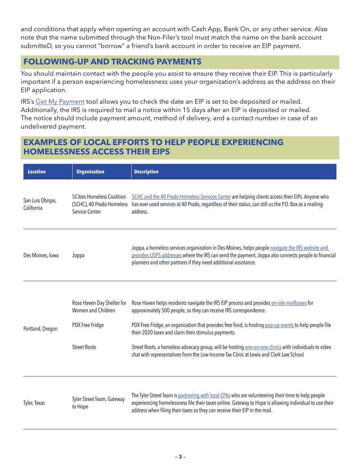and conditions that apply when opening an account with Cash App, Bank On, or any other service. Also note that the name submitted through the Non-Filer's tool must match the name on the bank account submitteD, so you cannot "borrow" a friend's bank account in order to receive an EIP payment.

### **FOLLOWING-UP AND TRACKING PAYMENTS**

You should maintain contact with the people you assist to ensure they receive their EIP. This is particularly important if a person experiencing homelessness uses your organization's address as the address on their EIP application.

IRS's [Get My Payment](https://www.irs.gov/coronavirus/get-my-payment) tool allows you to check the date an EIP is set to be deposited or mailed. Additionally, the IRS is required to mail a notice within 15 days after an EIP is deposited or mailed. The notice should include payment amount, method of delivery, and a contact number in case of an undelivered payment.

#### **EXAMPLES OF LOCAL EFFORTS TO HELP PEOPLE EXPERIENCING HOMELESSNESS ACCESS THEIR EIPS**

| <b>Location</b>                | <b>Organization</b>                                                                        | <b>Description</b>                                                                                                                                                                                                                                                                                                                                                                                                                                                                                                                  |
|--------------------------------|--------------------------------------------------------------------------------------------|-------------------------------------------------------------------------------------------------------------------------------------------------------------------------------------------------------------------------------------------------------------------------------------------------------------------------------------------------------------------------------------------------------------------------------------------------------------------------------------------------------------------------------------|
| San Luis Obispo,<br>California | <b>5Cities Homeless Coalition</b><br>(5CHC), 40 Prado Homeless<br>Service Center           | 5CHC and the 40 Prado Homeless Services Center are helping clients access their EIPs. Anyone who<br>has ever used services at 40 Prado, regardless of their status, can still us the P.O. Box as a mailing<br>address.                                                                                                                                                                                                                                                                                                              |
| Des Moines, Iowa               | Joppa                                                                                      | Joppa, a homeless services organization in Des Moines, helps people navigate the IRS website and<br>provides USPS addresses where the IRS can send the payment. Joppa also connects people to financial<br>planners and other partners if they need additional assistance.                                                                                                                                                                                                                                                          |
| Portland, Oregon               | Rose Haven Day Shelter for<br>Women and Children<br>PDX Free Fridge<br><b>Street Roots</b> | Rose Haven helps residents navigate the IRS EIP process and provides on-site mailboxes for<br>approximately 500 people, so they can receive IRS correspondence.<br>PDX Free Fridge, an organization that provides free food, is hosting pop-up events to help people file<br>their 2020 taxes and claim their stimulus payments.<br>Street Roots, a homeless advocacy group, will be hosting one-on-one clinics with individuals to video<br>chat with representatives from the Low-Income Tax Clinic at Lewis and Clark Law School |
| Tyler, Texas                   | Tyler Street Team, Gateway<br>to Hope                                                      | The Tyler Street Team is partnering with local CPAs who are volunteering their time to help people<br>experiencing homelessness file their taxes online. Gateway to Hope is allowing individual to use their<br>address when filing their taxes so they can receive their EIP in the mail.                                                                                                                                                                                                                                          |